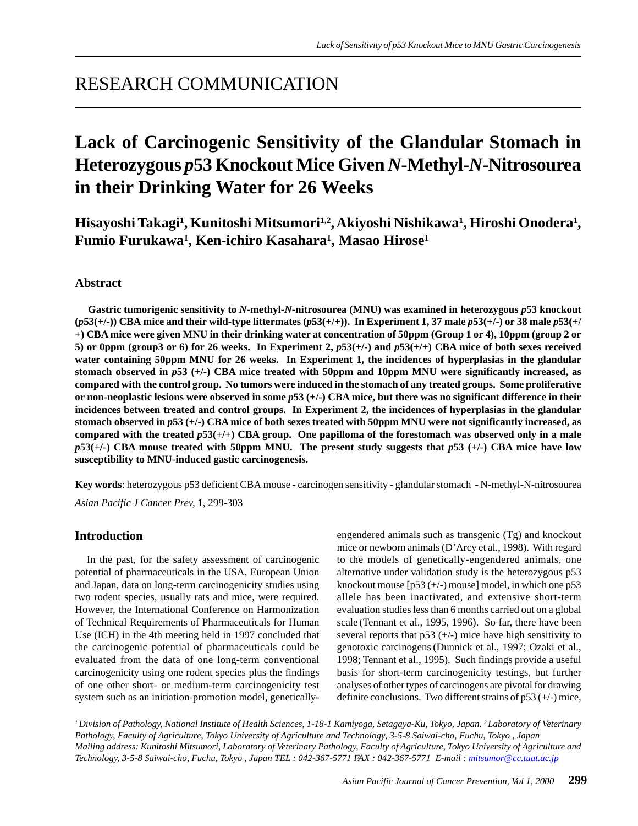## RESEARCH COMMUNICATION

# **Lack of Carcinogenic Sensitivity of the Glandular Stomach in Heterozygous** *p***53 Knockout Mice Given** *N***-Methyl-***N***-Nitrosourea in their Drinking Water for 26 Weeks**

**Hisayoshi Takagi1 , Kunitoshi Mitsumori1,2, Akiyoshi Nishikawa1 , Hiroshi Onodera1 , Fumio Furukawa1 , Ken-ichiro Kasahara1 , Masao Hirose1**

#### **Abstract**

 **Gastric tumorigenic sensitivity to** *N***-methyl-***N***-nitrosourea (MNU) was examined in heterozygous** *p***53 knockout (***p***53(+/-)) CBA mice and their wild-type littermates (***p***53(+/+)). In Experiment 1, 37 male** *p***53(+/-) or 38 male** *p***53(+/ +) CBA mice were given MNU in their drinking water at concentration of 50ppm (Group 1 or 4), 10ppm (group 2 or 5) or 0ppm (group3 or 6) for 26 weeks. In Experiment 2,**  $p53(+)$  **and**  $p53(+)$  **CBA mice of both sexes received water containing 50ppm MNU for 26 weeks. In Experiment 1, the incidences of hyperplasias in the glandular stomach observed in** *p***53 (+/-) CBA mice treated with 50ppm and 10ppm MNU were significantly increased, as compared with the control group. No tumors were induced in the stomach of any treated groups. Some proliferative or non-neoplastic lesions were observed in some** *p***53 (+/-) CBA mice, but there was no significant difference in their incidences between treated and control groups. In Experiment 2, the incidences of hyperplasias in the glandular stomach observed in** *p***53 (+/-) CBA mice of both sexes treated with 50ppm MNU were not significantly increased, as compared with the treated** *p***53(+/+) CBA group. One papilloma of the forestomach was observed only in a male** *p***53(+/-) CBA mouse treated with 50ppm MNU. The present study suggests that** *p***53 (+/-) CBA mice have low susceptibility to MNU-induced gastic carcinogenesis.**

*Asian Pacific J Cancer Prev,* **1**, 299-303 **Key words**: heterozygous p53 deficient CBA mouse - carcinogen sensitivity - glandular stomach - N-methyl-N-nitrosourea

## **Introduction**

 In the past, for the safety assessment of carcinogenic potential of pharmaceuticals in the USA, European Union and Japan, data on long-term carcinogenicity studies using two rodent species, usually rats and mice, were required. However, the International Conference on Harmonization of Technical Requirements of Pharmaceuticals for Human Use (ICH) in the 4th meeting held in 1997 concluded that the carcinogenic potential of pharmaceuticals could be evaluated from the data of one long-term conventional carcinogenicity using one rodent species plus the findings of one other short- or medium-term carcinogenicity test system such as an initiation-promotion model, geneticallyengendered animals such as transgenic (Tg) and knockout mice or newborn animals (D'Arcy et al., 1998). With regard to the models of genetically-engendered animals, one alternative under validation study is the heterozygous p53 knockout mouse [p53 (+/-) mouse] model, in which one p53 allele has been inactivated, and extensive short-term evaluation studies less than 6 months carried out on a global scale (Tennant et al., 1995, 1996). So far, there have been several reports that  $p53 (+/-)$  mice have high sensitivity to genotoxic carcinogens(Dunnick et al., 1997; Ozaki et al., 1998; Tennant et al., 1995). Such findings provide a useful basis for short-term carcinogenicity testings, but further analyses of other types of carcinogens are pivotal for drawing definite conclusions. Two different strains of  $p53 (+/-)$  mice,

*1 Division of Pathology, National Institute of Health Sciences, 1-18-1 Kamiyoga, Setagaya-Ku, Tokyo, Japan. 2 Laboratory of Veterinary Pathology, Faculty of Agriculture, Tokyo University of Agriculture and Technology, 3-5-8 Saiwai-cho, Fuchu, Tokyo , Japan Mailing address: Kunitoshi Mitsumori, Laboratory of Veterinary Pathology, Faculty of Agriculture, Tokyo University of Agriculture and Technology, 3-5-8 Saiwai-cho, Fuchu, Tokyo , Japan TEL : 042-367-5771 FAX : 042-367-5771 E-mail : mitsumor@cc.tuat.ac.jp*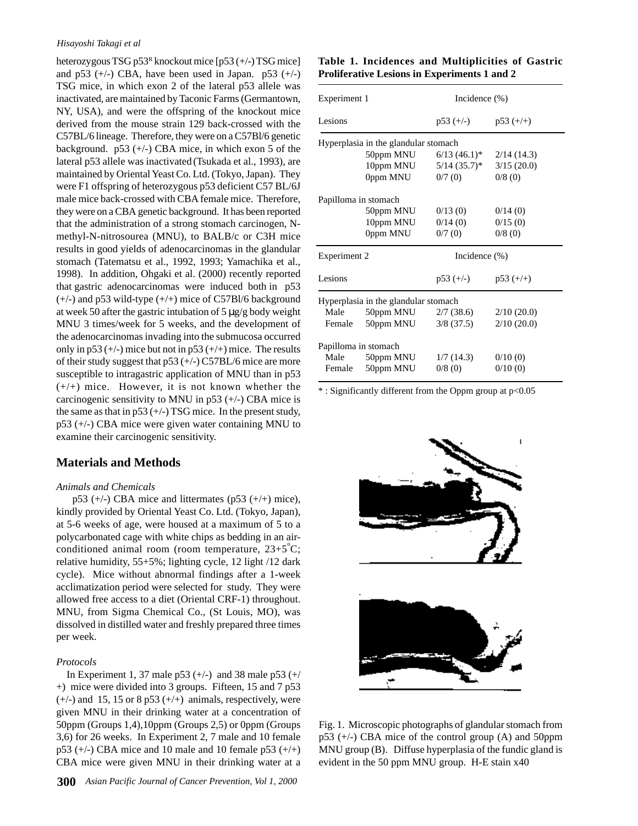#### *Hisayoshi Takagi et al*

heterozygous TSG p53<sup>R</sup> knockout mice [p53 (+/-) TSG mice] and  $p53 (+/-)$  CBA, have been used in Japan.  $p53 (+/-)$ TSG mice, in which exon 2 of the lateral p53 allele was inactivated, are maintained by Taconic Farms (Germantown, NY, USA), and were the offspring of the knockout mice derived from the mouse strain 129 back-crossed with the C57BL/6 lineage. Therefore, they were on a C57Bl/6 genetic background.  $p53 (+/-)$  CBA mice, in which exon 5 of the lateral p53 allele was inactivated (Tsukada et al., 1993), are maintained by Oriental Yeast Co. Ltd. (Tokyo, Japan). They were F1 offspring of heterozygous p53 deficient C57 BL/6J male mice back-crossed with CBA female mice. Therefore, they were on a CBA genetic background. It has been reported that the administration of a strong stomach carcinogen, Nmethyl-N-nitrosourea (MNU), to BALB/c or C3H mice results in good yields of adenocarcinomas in the glandular stomach (Tatematsu et al., 1992, 1993; Yamachika et al., 1998). In addition, Ohgaki et al. (2000) recently reported that gastric adenocarcinomas were induced both in p53  $(+/-)$  and p53 wild-type  $(+/+)$  mice of C57Bl/6 background at week 50 after the gastric intubation of 5  $\mu$ g/g body weight MNU 3 times/week for 5 weeks, and the development of the adenocarcinomas invading into the submucosa occurred only in p53  $(+/-)$  mice but not in p53  $(+/+)$  mice. The results of their study suggest that p53 (+/-) C57BL/6 mice are more susceptible to intragastric application of MNU than in p53  $(+/+)$  mice. However, it is not known whether the carcinogenic sensitivity to MNU in  $p53 (+/-)$  CBA mice is the same as that in  $p53 (+/-) TSG$  mice. In the present study, p53 (+/-) CBA mice were given water containing MNU to examine their carcinogenic sensitivity.

## **Materials and Methods**

#### *Animals and Chemicals*

 p53 (+/-) CBA mice and littermates (p53 (+/+) mice), kindly provided by Oriental Yeast Co. Ltd. (Tokyo, Japan), at 5-6 weeks of age, were housed at a maximum of 5 to a polycarbonated cage with white chips as bedding in an airconditioned animal room (room temperature,  $23+5^{\circ}$ C; relative humidity, 55+5%; lighting cycle, 12 light /12 dark cycle). Mice without abnormal findings after a 1-week acclimatization period were selected for study. They were allowed free access to a diet (Oriental CRF-1) throughout. MNU, from Sigma Chemical Co., (St Louis, MO), was dissolved in distilled water and freshly prepared three times per week.

#### *Protocols*

In Experiment 1, 37 male p53  $(+/-)$  and 38 male p53  $(+/$ +) mice were divided into 3 groups. Fifteen, 15 and 7 p53  $(+/-)$  and 15, 15 or 8 p53  $(+/+)$  animals, respectively, were given MNU in their drinking water at a concentration of 50ppm (Groups 1,4),10ppm (Groups 2,5) or 0ppm (Groups 3,6) for 26 weeks. In Experiment 2, 7 male and 10 female  $p53 (+/-)$  CBA mice and 10 male and 10 female  $p53 (+/+)$ CBA mice were given MNU in their drinking water at a

#### **Table 1. Incidences and Multiplicities of Gastric Proliferative Lesions in Experiments 1 and 2**

| Experiment 1                         |                      | Incidence $(\% )$          |            |  |  |
|--------------------------------------|----------------------|----------------------------|------------|--|--|
| Lesions                              |                      | $p53 (+/-)$ $p53 (+/+)$    |            |  |  |
| Hyperplasia in the glandular stomach |                      |                            |            |  |  |
|                                      | 50ppm MNU            | $6/13$ (46.1) <sup>*</sup> | 2/14(14.3) |  |  |
|                                      | 10ppm MNU            | $5/14$ (35.7)*             | 3/15(20.0) |  |  |
|                                      | 0ppm MNU             | 0/7(0)                     | 0/8(0)     |  |  |
| Papilloma in stomach                 |                      |                            |            |  |  |
|                                      | 50ppm MNU            | 0/13(0)                    | 0/14(0)    |  |  |
|                                      | 10ppm MNU            | 0/14(0)                    | 0/15(0)    |  |  |
|                                      | 0ppm MNU             | 0/7(0)                     | 0/8(0)     |  |  |
| Experiment 2                         |                      | Incidence $(\% )$          |            |  |  |
| Lesions                              |                      | $p53 (+/-)$ $p53 (+/+)$    |            |  |  |
| Hyperplasia in the glandular stomach |                      |                            |            |  |  |
| Male                                 |                      | 50ppm MNU $2/7$ (38.6)     | 2/10(20.0) |  |  |
| Female                               | 50ppm MNU            | $3/8$ (37.5)               | 2/10(20.0) |  |  |
|                                      | Papilloma in stomach |                            |            |  |  |
| Male                                 | 50ppm MNU            | 1/7(14.3)                  | 0/10(0)    |  |  |
|                                      | Female 50ppm MNU     | 0/8(0)                     | 0/10(0)    |  |  |
|                                      |                      |                            |            |  |  |

\* : Significantly different from the Oppm group at p<0.05



Fig. 1. Microscopic photographs of glandular stomach from  $p53$  (+/-) CBA mice of the control group (A) and 50ppm MNU group (B). Diffuse hyperplasia of the fundic gland is evident in the 50 ppm MNU group. H-E stain x40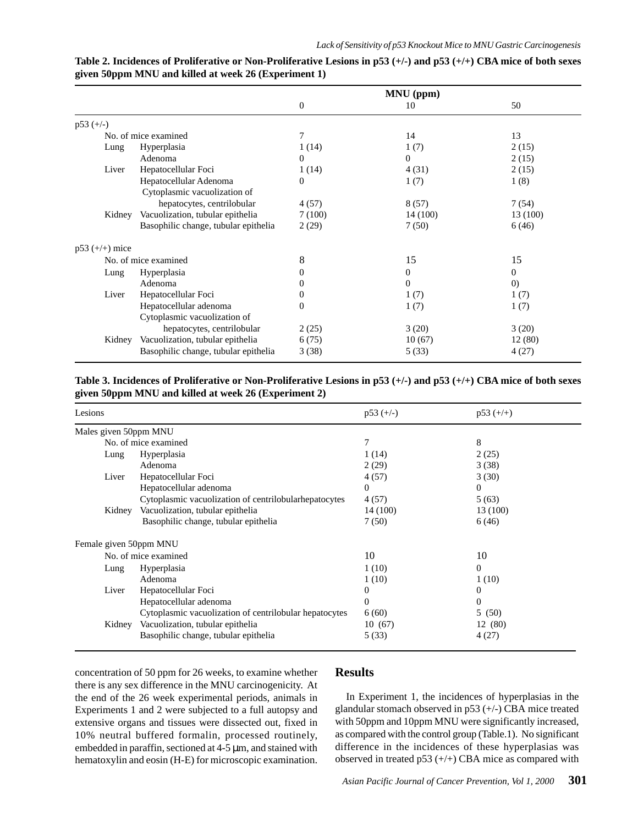|                      |                                      | MNU (ppm)      |              |                   |
|----------------------|--------------------------------------|----------------|--------------|-------------------|
|                      |                                      | $\overline{0}$ | 10           | 50                |
| $p53 (+/-)$          |                                      |                |              |                   |
|                      | No. of mice examined                 | 7              | 14           | 13                |
| Lung                 | Hyperplasia                          | 1(14)          | 1(7)         | 2(15)             |
|                      | Adenoma                              | $\Omega$       | $\Omega$     | 2(15)             |
| Liver                | Hepatocellular Foci                  | 1(14)          | 4(31)        | 2(15)             |
|                      | Hepatocellular Adenoma               | $\theta$       | 1(7)         | 1(8)              |
|                      | Cytoplasmic vacuolization of         |                |              |                   |
|                      | hepatocytes, centrilobular           | 4(57)          | 8(57)        | 7(54)             |
| Kidney               | Vacuolization, tubular epithelia     | 7(100)         | 14 (100)     | 13 (100)          |
|                      | Basophilic change, tubular epithelia | 2(29)          | 7(50)        | 6(46)             |
| $p53 (+/+)$ mice     |                                      |                |              |                   |
| No. of mice examined |                                      | 8              | 15           | 15                |
| Lung                 | Hyperplasia                          | $\Omega$       | $\mathbf{0}$ | $\overline{0}$    |
|                      | Adenoma                              | 0              | $\theta$     | $\left( 0\right)$ |
| Liver                | Hepatocellular Foci                  | $\theta$       | 1(7)         | 1(7)              |
|                      | Hepatocellular adenoma               | $\Omega$       | 1(7)         | 1(7)              |
|                      | Cytoplasmic vacuolization of         |                |              |                   |
|                      | hepatocytes, centrilobular           | 2(25)          | 3(20)        | 3(20)             |
| Kidney               | Vacuolization, tubular epithelia     | 6(75)          | 10(67)       | 12(80)            |
|                      | Basophilic change, tubular epithelia | 3(38)          | 5(33)        | 4(27)             |

| Table 2. Incidences of Proliferative or Non-Proliferative Lesions in $p53$ (+/-) and $p53$ (+/+) CBA mice of both sexes |  |
|-------------------------------------------------------------------------------------------------------------------------|--|
| given 50ppm MNU and killed at week 26 (Experiment 1)                                                                    |  |

## **Table 3. Incidences of Proliferative or Non-Proliferative Lesions in p53 (+/-) and p53 (+/+) CBA mice of both sexes given 50ppm MNU and killed at week 26 (Experiment 2)**

| Lesions                |                                                        | $p53 (+/-)$ | $p53 (+/+)$ |
|------------------------|--------------------------------------------------------|-------------|-------------|
| Males given 50ppm MNU  |                                                        |             |             |
|                        | No. of mice examined                                   | 7           | 8           |
| Lung                   | Hyperplasia                                            | 1(14)       | 2(25)       |
|                        | Adenoma                                                | 2(29)       | 3(38)       |
| Liver                  | Hepatocellular Foci                                    | 4(57)       | 3(30)       |
|                        | Hepatocellular adenoma                                 | $\Omega$    | $\Omega$    |
|                        | Cytoplasmic vacuolization of centrilobularhepatocytes  | 4(57)       | 5(63)       |
| Kidney                 | Vacuolization, tubular epithelia                       | 14 (100)    | 13 (100)    |
|                        | Basophilic change, tubular epithelia                   | 7(50)       | 6(46)       |
| Female given 50ppm MNU |                                                        |             |             |
| No. of mice examined   |                                                        | 10          | 10          |
| Lung                   | Hyperplasia                                            | 1(10)       | $\Omega$    |
|                        | Adenoma                                                | 1(10)       | 1(10)       |
| Liver                  | Hepatocellular Foci                                    | 0           | 0           |
|                        | Hepatocellular adenoma                                 | 0           | $\Omega$    |
|                        | Cytoplasmic vacuolization of centrilobular hepatocytes | 6(60)       | 5<br>(50)   |
| Kidney                 | Vacuolization, tubular epithelia                       | 10(67)      | 12 (80)     |
|                        | Basophilic change, tubular epithelia                   | 5(33)       | 4(27)       |

concentration of 50 ppm for 26 weeks, to examine whether there is any sex difference in the MNU carcinogenicity. At the end of the 26 week experimental periods, animals in Experiments 1 and 2 were subjected to a full autopsy and extensive organs and tissues were dissected out, fixed in 10% neutral buffered formalin, processed routinely, embedded in paraffin, sectioned at 4-5 µm, and stained with hematoxylin and eosin (H-E) for microscopic examination.

## **Results**

 In Experiment 1, the incidences of hyperplasias in the glandular stomach observed in p53 (+/-) CBA mice treated with 50ppm and 10ppm MNU were significantly increased, as compared with the control group (Table.1). No significant difference in the incidences of these hyperplasias was observed in treated  $p53 (+/+)$  CBA mice as compared with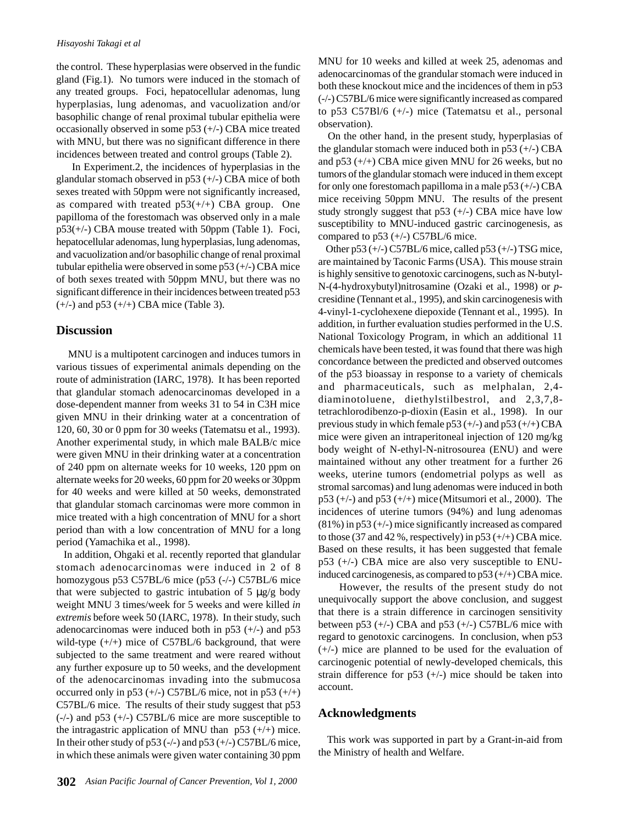the control. These hyperplasias were observed in the fundic gland (Fig.1). No tumors were induced in the stomach of any treated groups. Foci, hepatocellular adenomas, lung hyperplasias, lung adenomas, and vacuolization and/or basophilic change of renal proximal tubular epithelia were occasionally observed in some  $p53 (+/-)$  CBA mice treated with MNU, but there was no significant difference in there incidences between treated and control groups (Table 2).

 In Experiment.2, the incidences of hyperplasias in the glandular stomach observed in  $p53 (+/-)$  CBA mice of both sexes treated with 50ppm were not significantly increased, as compared with treated  $p53(+/+)$  CBA group. One papilloma of the forestomach was observed only in a male p53(+/-) CBA mouse treated with 50ppm (Table 1). Foci, hepatocellular adenomas, lung hyperplasias, lung adenomas, and vacuolization and/or basophilic change of renal proximal tubular epithelia were observed in some  $p53 (+/-)$  CBA mice of both sexes treated with 50ppm MNU, but there was no significant difference in their incidences between treated p53  $(+/-)$  and p53  $(+/+)$  CBA mice (Table 3).

#### **Discussion**

 MNU is a multipotent carcinogen and induces tumors in various tissues of experimental animals depending on the route of administration (IARC, 1978). It has been reported that glandular stomach adenocarcinomas developed in a dose-dependent manner from weeks 31 to 54 in C3H mice given MNU in their drinking water at a concentration of 120, 60, 30 or 0 ppm for 30 weeks (Tatematsu et al., 1993). Another experimental study, in which male BALB/c mice were given MNU in their drinking water at a concentration of 240 ppm on alternate weeks for 10 weeks, 120 ppm on alternate weeks for 20 weeks, 60 ppm for 20 weeks or 30ppm for 40 weeks and were killed at 50 weeks, demonstrated that glandular stomach carcinomas were more common in mice treated with a high concentration of MNU for a short period than with a low concentration of MNU for a long period (Yamachika et al., 1998).

 In addition, Ohgaki et al. recently reported that glandular stomach adenocarcinomas were induced in 2 of 8 homozygous p53 C57BL/6 mice (p53 (-/-) C57BL/6 mice that were subjected to gastric intubation of  $5 \mu g/g$  body weight MNU 3 times/week for 5 weeks and were killed *in extremis* before week 50 (IARC, 1978). In their study, such adenocarcinomas were induced both in  $p53$  (+/-) and  $p53$ wild-type  $(+/+)$  mice of C57BL/6 background, that were subjected to the same treatment and were reared without any further exposure up to 50 weeks, and the development of the adenocarcinomas invading into the submucosa occurred only in p53  $(+/-)$  C57BL/6 mice, not in p53  $(+/+)$ C57BL/6 mice. The results of their study suggest that p53 (-/-) and p53 (+/-) C57BL/6 mice are more susceptible to the intragastric application of MNU than  $p53 (+/+)$  mice. In their other study of  $p53$  (-/-) and  $p53$  (+/-) C57BL/6 mice, in which these animals were given water containing 30 ppm MNU for 10 weeks and killed at week 25, adenomas and adenocarcinomas of the grandular stomach were induced in both these knockout mice and the incidences of them in p53 (-/-) C57BL/6 mice were significantly increased as compared to p53 C57Bl/6 (+/-) mice (Tatematsu et al., personal observation).

 On the other hand, in the present study, hyperplasias of the glandular stomach were induced both in  $p53 (+/-)$  CBA and p53 (+/+) CBA mice given MNU for 26 weeks, but no tumors of the glandular stomach were induced in them except for only one forestomach papilloma in a male p53 (+/-) CBA mice receiving 50ppm MNU. The results of the present study strongly suggest that  $p53 (+/-)$  CBA mice have low susceptibility to MNU-induced gastric carcinogenesis, as compared to  $p53 (+/-)$  C57BL/6 mice.

Other  $p53 (+/-)$  C57BL/6 mice, called  $p53 (+/-)$  TSG mice, are maintained by Taconic Farms (USA). This mouse strain is highly sensitive to genotoxic carcinogens, such as N-butyl-N-(4-hydroxybutyl)nitrosamine (Ozaki et al., 1998) or *p*cresidine (Tennant et al., 1995), and skin carcinogenesis with 4-vinyl-1-cyclohexene diepoxide (Tennant et al., 1995). In addition, in further evaluation studies performed in the U.S. National Toxicology Program, in which an additional 11 chemicals have been tested, it was found that there was high concordance between the predicted and observed outcomes of the p53 bioassay in response to a variety of chemicals and pharmaceuticals, such as melphalan, 2,4 diaminotoluene, diethylstilbestrol, and 2,3,7,8 tetrachlorodibenzo-p-dioxin (Easin et al., 1998). In our previous study in which female  $p53 (+/-)$  and  $p53 (+/+)$  CBA mice were given an intraperitoneal injection of 120 mg/kg body weight of N-ethyl-N-nitrosourea (ENU) and were maintained without any other treatment for a further 26 weeks, uterine tumors (endometrial polyps as well as stromal sarcomas) and lung adenomas were induced in both  $p53 (+/-)$  and  $p53 (+/+)$  mice (Mitsumori et al., 2000). The incidences of uterine tumors (94%) and lung adenomas  $(81\%)$  in p53 (+/-) mice significantly increased as compared to those (37 and 42 %, respectively) in  $p53 (+/+)$  CBA mice. Based on these results, it has been suggested that female p53 (+/-) CBA mice are also very susceptible to ENUinduced carcinogenesis, as compared to  $p53 (+/+)$  CBA mice.

 However, the results of the present study do not unequivocally support the above conclusion, and suggest that there is a strain difference in carcinogen sensitivity between p53  $(+/-)$  CBA and p53  $(+/-)$  C57BL/6 mice with regard to genotoxic carcinogens. In conclusion, when p53 (+/-) mice are planned to be used for the evaluation of carcinogenic potential of newly-developed chemicals, this strain difference for  $p53 (+/-)$  mice should be taken into account.

## **Acknowledgments**

 This work was supported in part by a Grant-in-aid from the Ministry of health and Welfare.